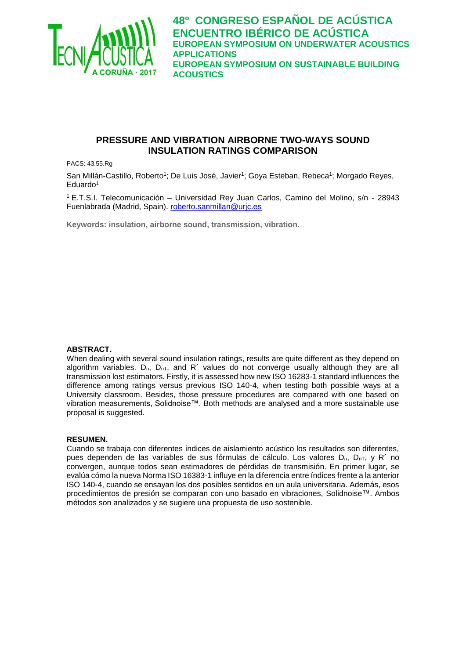

## **PRESSURE AND VIBRATION AIRBORNE TWO-WAYS SOUND INSULATION RATINGS COMPARISON**

PACS: 43.55.Rg

San Millán-Castillo, Roberto<sup>1</sup>; De Luis José, Javier<sup>1</sup>; Goya Esteban, Rebeca<sup>1</sup>; Morgado Reyes, Eduardo<sup>1</sup>

<sup>1</sup>E.T.S.I. Telecomunicación – Universidad Rey Juan Carlos, Camino del Molino, s/n - 28943 Fuenlabrada (Madrid, Spain). [roberto.sanmillan@urjc.es](mailto:roberto.sanmillan@urjc.es)

**Keywords: insulation, airborne sound, transmission, vibration.**

#### **ABSTRACT.**

When dealing with several sound insulation ratings, results are quite different as they depend on algorithm variables.  $D_n$ ,  $D_{nT}$ , and R<sup>'</sup> values do not converge usually although they are all transmission lost estimators. Firstly, it is assessed how new ISO 16283-1 standard influences the difference among ratings versus previous ISO 140-4, when testing both possible ways at a University classroom. Besides, those pressure procedures are compared with one based on vibration measurements, Solidnoise™. Both methods are analysed and a more sustainable use proposal is suggested.

#### **RESUMEN.**

Cuando se trabaja con diferentes índices de aislamiento acústico los resultados son diferentes, pues dependen de las variables de sus fórmulas de cálculo. Los valores  $D_n$ ,  $D_{nT}$ , y R<sup>'</sup> no convergen, aunque todos sean estimadores de pérdidas de transmisión. En primer lugar, se evalúa cómo la nueva Norma ISO 16383-1 influye en la diferencia entre índices frente a la anterior ISO 140-4, cuando se ensayan los dos posibles sentidos en un aula universitaria. Además, esos procedimientos de presión se comparan con uno basado en vibraciones, Solidnoise™. Ambos métodos son analizados y se sugiere una propuesta de uso sostenible.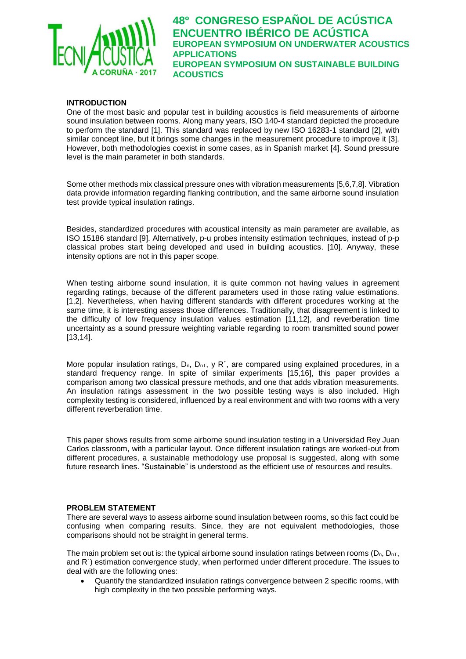

## **INTRODUCTION**

One of the most basic and popular test in building acoustics is field measurements of airborne sound insulation between rooms. Along many years, ISO 140-4 standard depicted the procedure to perform the standard [1]. This standard was replaced by new ISO 16283-1 standard [2], with similar concept line, but it brings some changes in the measurement procedure to improve it [3]. However, both methodologies coexist in some cases, as in Spanish market [4]. Sound pressure level is the main parameter in both standards.

Some other methods mix classical pressure ones with vibration measurements [5,6,7,8]. Vibration data provide information regarding flanking contribution, and the same airborne sound insulation test provide typical insulation ratings.

Besides, standardized procedures with acoustical intensity as main parameter are available, as ISO 15186 standard [9]. Alternatively, p-u probes intensity estimation techniques, instead of p-p classical probes start being developed and used in building acoustics. [10]. Anyway, these intensity options are not in this paper scope.

When testing airborne sound insulation, it is quite common not having values in agreement regarding ratings, because of the different parameters used in those rating value estimations. [1,2]. Nevertheless, when having different standards with different procedures working at the same time, it is interesting assess those differences. Traditionally, that disagreement is linked to the difficulty of low frequency insulation values estimation [11,12], and reverberation time uncertainty as a sound pressure weighting variable regarding to room transmitted sound power [13,14].

More popular insulation ratings,  $D_n$ ,  $D_{nT}$ ,  $y R'$ , are compared using explained procedures, in a standard frequency range. In spite of similar experiments [15,16], this paper provides a comparison among two classical pressure methods, and one that adds vibration measurements. An insulation ratings assessment in the two possible testing ways is also included. High complexity testing is considered, influenced by a real environment and with two rooms with a very different reverberation time.

This paper shows results from some airborne sound insulation testing in a Universidad Rey Juan Carlos classroom, with a particular layout. Once different insulation ratings are worked-out from different procedures, a sustainable methodology use proposal is suggested, along with some future research lines. "Sustainable" is understood as the efficient use of resources and results.

#### **PROBLEM STATEMENT**

There are several ways to assess airborne sound insulation between rooms, so this fact could be confusing when comparing results. Since, they are not equivalent methodologies, those comparisons should not be straight in general terms.

The main problem set out is: the typical airborne sound insulation ratings between rooms ( $D_n$ ,  $D_{nT}$ , and R´) estimation convergence study, when performed under different procedure. The issues to deal with are the following ones:

• Quantify the standardized insulation ratings convergence between 2 specific rooms, with high complexity in the two possible performing ways.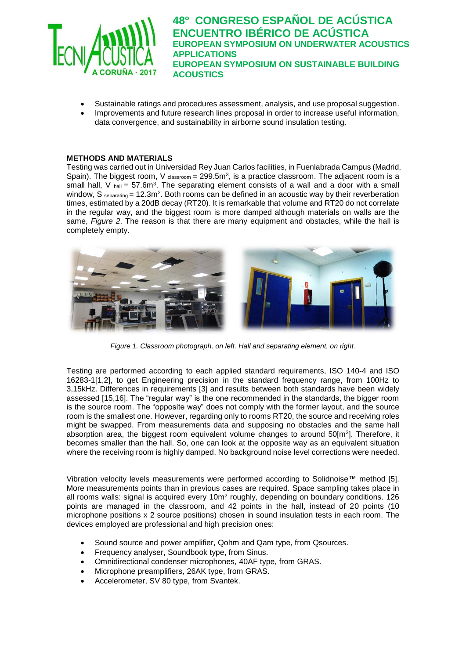

- Sustainable ratings and procedures assessment, analysis, and use proposal suggestion.
- Improvements and future research lines proposal in order to increase useful information, data convergence, and sustainability in airborne sound insulation testing.

#### **METHODS AND MATERIALS**

Testing was carried out in Universidad Rey Juan Carlos facilities, in Fuenlabrada Campus (Madrid, Spain). The biggest room, V  $_{classroom} = 299.5m<sup>3</sup>$ , is a practice classroom. The adjacent room is a small hall, V  $_{\text{hall}}$  = 57.6m<sup>3</sup>. The separating element consists of a wall and a door with a small window, S separating =  $12.3$ m<sup>2</sup>. Both rooms can be defined in an acoustic way by their reverberation times, estimated by a 20dB decay (RT20). It is remarkable that volume and RT20 do not correlate in the regular way, and the biggest room is more damped although materials on walls are the same, *Figure 2*. The reason is that there are many equipment and obstacles, while the hall is completely empty.



*Figure 1. Classroom photograph, on left. Hall and separating element, on right.*

Testing are performed according to each applied standard requirements, ISO 140-4 and ISO 16283-1[1,2], to get Engineering precision in the standard frequency range, from 100Hz to 3,15kHz. Differences in requirements [3] and results between both standards have been widely assessed [15,16]. The "regular way" is the one recommended in the standards, the bigger room is the source room. The "opposite way" does not comply with the former layout, and the source room is the smallest one. However, regarding only to rooms RT20, the source and receiving roles might be swapped. From measurements data and supposing no obstacles and the same hall absorption area, the biggest room equivalent volume changes to around 50[m<sup>3</sup>]. Therefore, it becomes smaller than the hall. So, one can look at the opposite way as an equivalent situation where the receiving room is highly damped. No background noise level corrections were needed.

Vibration velocity levels measurements were performed according to Solidnoise™ method [5]. More measurements points than in previous cases are required. Space sampling takes place in all rooms walls: signal is acquired every  $10<sup>m</sup>$  roughly, depending on boundary conditions. 126 points are managed in the classroom, and 42 points in the hall, instead of 20 points (10 microphone positions x 2 source positions) chosen in sound insulation tests in each room. The devices employed are professional and high precision ones:

- Sound source and power amplifier, Qohm and Qam type, from Qsources.
- Frequency analyser, Soundbook type, from Sinus.
- Omnidirectional condenser microphones, 40AF type, from GRAS.
- Microphone preamplifiers, 26AK type, from GRAS.
- Accelerometer, SV 80 type, from Svantek.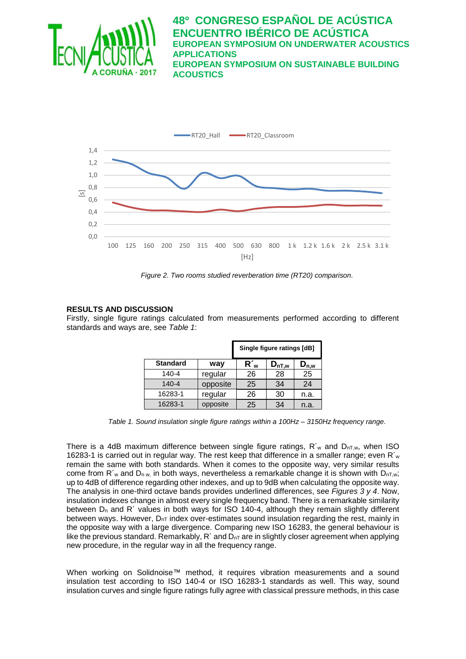



*Figure 2. Two rooms studied reverberation time (RT20) comparison.*

## **RESULTS AND DISCUSSION**

Firstly, single figure ratings calculated from measurements performed according to different standards and ways are, see *Table 1*:

|                 |          | Single figure ratings [dB] |            |                                      |
|-----------------|----------|----------------------------|------------|--------------------------------------|
| <b>Standard</b> | way      | $R_w$                      | $D_{nT,w}$ | $\mathsf{D}_{\mathsf{n},\mathsf{w}}$ |
| 140-4           | regular  | 26                         | 28         | 25                                   |
| $140 - 4$       | opposite | 25                         | 34         | 24                                   |
| 16283-1         | regular  | 26                         | 30         | n.a.                                 |
| 16283-1         | opposite | 25                         | 34         | n.a.                                 |

*Table 1. Sound insulation single figure ratings within a 100Hz – 3150Hz frequency range.*

There is a 4dB maximum difference between single figure ratings,  $R'$ <sub>w</sub> and  $D_{nT,w}$ , when ISO 16283-1 is carried out in regular way. The rest keep that difference in a smaller range; even  $R_w$ remain the same with both standards. When it comes to the opposite way, very similar results come from R'<sub>w</sub> and D<sub>n w,</sub> in both ways, nevertheless a remarkable change it is shown with D<sub>nT,w</sub>; up to 4dB of difference regarding other indexes, and up to 9dB when calculating the opposite way. The analysis in one-third octave bands provides underlined differences, see *Figures 3 y 4*. Now, insulation indexes change in almost every single frequency band. There is a remarkable similarity between  $D_n$  and R<sup> $\prime$ </sup> values in both ways for ISO 140-4, although they remain slightly different between ways. However,  $D_{nT}$  index over-estimates sound insulation regarding the rest, mainly in the opposite way with a large divergence. Comparing new ISO 16283, the general behaviour is like the previous standard. Remarkably,  $R'$  and  $D_{nT}$  are in slightly closer agreement when applying new procedure, in the regular way in all the frequency range.

When working on Solidnoise™ method, it requires vibration measurements and a sound insulation test according to ISO 140-4 or ISO 16283-1 standards as well. This way, sound insulation curves and single figure ratings fully agree with classical pressure methods, in this case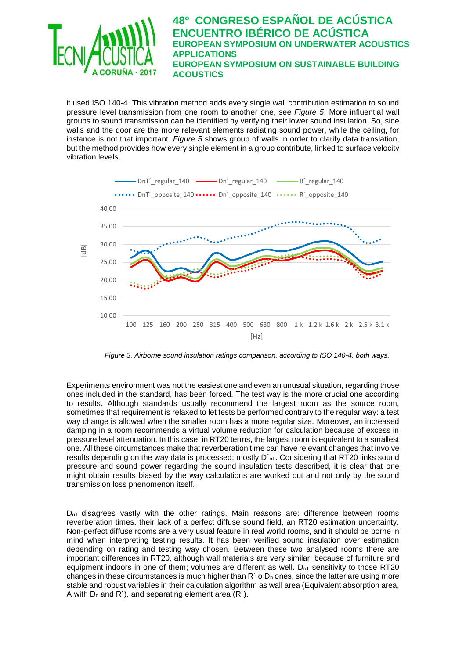![](_page_4_Picture_0.jpeg)

it used ISO 140-4. This vibration method adds every single wall contribution estimation to sound pressure level transmission from one room to another one, see *Figure 5*. More influential wall groups to sound transmission can be identified by verifying their lower sound insulation. So, side walls and the door are the more relevant elements radiating sound power, while the ceiling, for instance is not that important. *Figure 5* shows group of walls in order to clarify data translation, but the method provides how every single element in a group contribute, linked to surface velocity vibration levels.

![](_page_4_Figure_2.jpeg)

*Figure 3. Airborne sound insulation ratings comparison, according to ISO 140-4, both ways.*

Experiments environment was not the easiest one and even an unusual situation, regarding those ones included in the standard, has been forced. The test way is the more crucial one according to results. Although standards usually recommend the largest room as the source room, sometimes that requirement is relaxed to let tests be performed contrary to the regular way: a test way change is allowed when the smaller room has a more regular size. Moreover, an increased damping in a room recommends a virtual volume reduction for calculation because of excess in pressure level attenuation. In this case, in RT20 terms, the largest room is equivalent to a smallest one. All these circumstances make that reverberation time can have relevant changes that involve results depending on the way data is processed; mostly  $D'_{nT}$ . Considering that RT20 links sound pressure and sound power regarding the sound insulation tests described, it is clear that one might obtain results biased by the way calculations are worked out and not only by the sound transmission loss phenomenon itself.

 $D_{nT}$  disagrees vastly with the other ratings. Main reasons are: difference between rooms reverberation times, their lack of a perfect diffuse sound field, an RT20 estimation uncertainty. Non-perfect diffuse rooms are a very usual feature in real world rooms, and it should be borne in mind when interpreting testing results. It has been verified sound insulation over estimation depending on rating and testing way chosen. Between these two analysed rooms there are important differences in RT20, although wall materials are very similar, because of furniture and equipment indoors in one of them; volumes are different as well.  $D_{nT}$  sensitivity to those RT20 changes in these circumstances is much higher than  $R'$  o  $D_n$  ones, since the latter are using more stable and robust variables in their calculation algorithm as wall area (Equivalent absorption area, A with  $D_n$  and R<sup>'</sup>), and separating element area  $(R<sup>2</sup>)$ .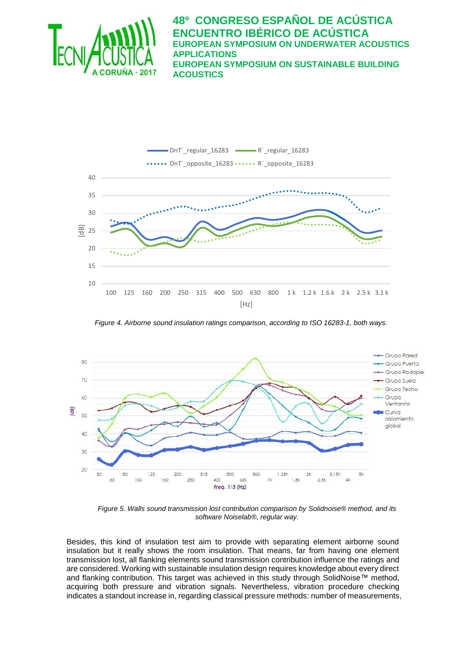![](_page_5_Picture_0.jpeg)

![](_page_5_Figure_2.jpeg)

*Figure 4. Airborne sound insulation ratings comparison, according to ISO 16283-1, both ways.*

![](_page_5_Figure_4.jpeg)

*Figure 5. Walls sound transmission lost contribution comparison by Solidnoise® method, and its software Noiselab®, regular way.*

Besides, this kind of insulation test aim to provide with separating element airborne sound insulation but it really shows the room insulation. That means, far from having one element transmission lost, all flanking elements sound transmission contribution influence the ratings and are considered. Working with sustainable insulation design requires knowledge about every direct and flanking contribution. This target was achieved in this study through SolidNoise™ method, acquiring both pressure and vibration signals. Nevertheless, vibration procedure checking indicates a standout increase in, regarding classical pressure methods: number of measurements,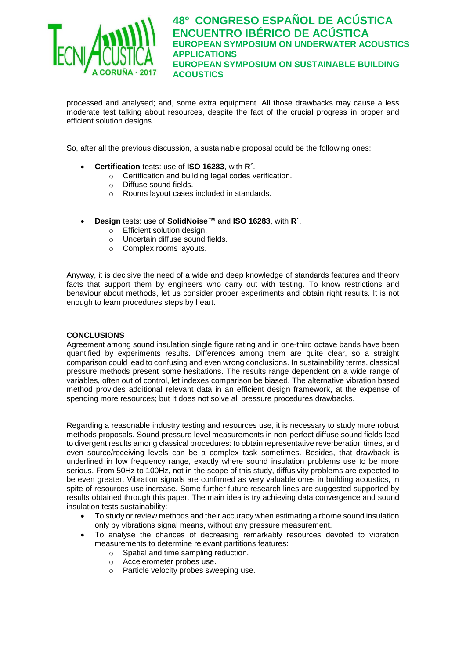![](_page_6_Picture_0.jpeg)

processed and analysed; and, some extra equipment. All those drawbacks may cause a less moderate test talking about resources, despite the fact of the crucial progress in proper and efficient solution designs.

So, after all the previous discussion, a sustainable proposal could be the following ones:

- **Certification** tests: use of **ISO 16283**, with **R´**.
	- o Certification and building legal codes verification.
	- o Diffuse sound fields.
	- o Rooms layout cases included in standards.
- **Design** tests: use of **SolidNoise™** and **ISO 16283**, with **R´**.
	- o Efficient solution design.
	- o Uncertain diffuse sound fields.
	- o Complex rooms layouts.

Anyway, it is decisive the need of a wide and deep knowledge of standards features and theory facts that support them by engineers who carry out with testing. To know restrictions and behaviour about methods, let us consider proper experiments and obtain right results. It is not enough to learn procedures steps by heart.

## **CONCLUSIONS**

Agreement among sound insulation single figure rating and in one-third octave bands have been quantified by experiments results. Differences among them are quite clear, so a straight comparison could lead to confusing and even wrong conclusions. In sustainability terms, classical pressure methods present some hesitations. The results range dependent on a wide range of variables, often out of control, let indexes comparison be biased. The alternative vibration based method provides additional relevant data in an efficient design framework, at the expense of spending more resources; but It does not solve all pressure procedures drawbacks.

Regarding a reasonable industry testing and resources use, it is necessary to study more robust methods proposals. Sound pressure level measurements in non-perfect diffuse sound fields lead to divergent results among classical procedures: to obtain representative reverberation times, and even source/receiving levels can be a complex task sometimes. Besides, that drawback is underlined in low frequency range, exactly where sound insulation problems use to be more serious. From 50Hz to 100Hz, not in the scope of this study, diffusivity problems are expected to be even greater. Vibration signals are confirmed as very valuable ones in building acoustics, in spite of resources use increase. Some further future research lines are suggested supported by results obtained through this paper. The main idea is try achieving data convergence and sound insulation tests sustainability:

- To study or review methods and their accuracy when estimating airborne sound insulation only by vibrations signal means, without any pressure measurement.
- To analyse the chances of decreasing remarkably resources devoted to vibration measurements to determine relevant partitions features:
	- o Spatial and time sampling reduction.
	- o Accelerometer probes use.
	- o Particle velocity probes sweeping use.